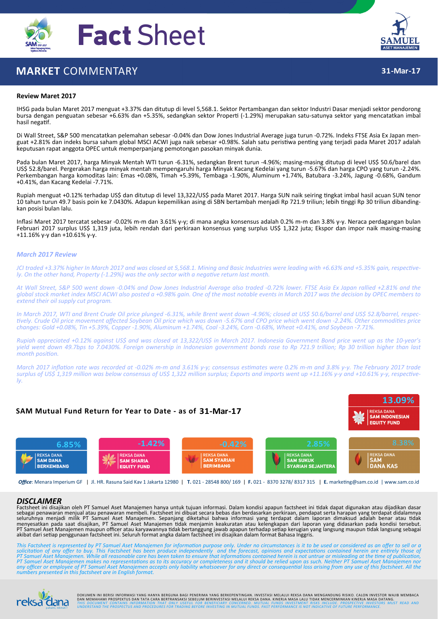

# **MARKET** COMMENTARY



**31‐Mar‐17**

### **Review Maret 2017**

IHSG pada bulan Maret 2017 menguat +3.37% dan ditutup di level 5,568.1. Sektor Pertambangan dan sektor Industri Dasar menjadi sektor pendorong bursa dengan penguatan sebesar +6.63% dan +5.35%, sedangkan sektor Properti (-1.29%) merupakan satu-satunya sektor yang mencatatkan imbal hasil negatif.

Di Wall Street, S&P 500 mencatatkan pelemahan sebesar -0.04% dan Dow Jones Industrial Average juga turun -0.72%. Indeks FTSE Asia Ex Japan men-<br>guat +2.81% dan indeks bursa saham global MSCI ACWI juga naik sebesar +0.98%. keputusan rapat anggota OPEC untuk memperpanjang pemotongan pasokan minyak dunia.

Pada bulan Maret 2017, harga Minyak Mentah WTI turun ‐6.31%, sedangkan Brent turun ‐4.96%; masing‐masing ditutup di level US\$ 50.6/barel dan US\$ 52.8/barel. Pergerakan harga minyak mentah mempengaruhi harga Minyak Kacang Kedelai yang turun ‐5.67% dan harga CPO yang turun ‐2.24%. Perkembangan harga komoditas lain: Emas +0.08%, Timah +5.39%, Tembaga ‐1.90%, Aluminum +1.74%, Batubara ‐3.24%, Jagung ‐0.68%, Gandum +0.41%, dan Kacang Kedelai ‐7.71%.

Rupiah menguat +0.12% terhadap US\$ dan ditutup di level 13,322/US\$ pada Maret 2017. Harga SUN naik seiring tingkat imbal hasil acuan SUN tenor 10 tahun turun 49.7 basis poin ke 7.0430%. Adapun kepemilikan asing di SBN bertambah menjadi Rp 721.9 triliun; lebih tinggi Rp 30 triliun dibanding-<br>kan posisi bulan lalu.

Inflasi Maret 2017 tercatat sebesar ‐0.02% m‐m dan 3.61% y‐y; di mana angka konsensus adalah 0.2% m‐m dan 3.8% y‐y. Neraca perdagangan bulan Februari 2017 surplus US\$ 1,319 juta, lebih rendah dari perkiraan konsensus yang surplus US\$ 1,322 juta; Ekspor dan impor naik masing-masing +11.16% y‐y dan +10.61% y‐y.

### *March 2017 Review*

JCI traded +3.37% higher In March 2017 and was closed at 5,568.1. Mining and Basic Industries were leading with +6.63% and +5.35% gain, respectively. On the other hand, Property (-1.29%) was the only sector with a negative return last month.

At Wall Street, S&P 500 went down -0.04% and Dow Jones Industrial Average also traded -0.72% lower. FTSE Asia Ex Japan rallied +2.81% and the global stock market index MSCI ACWI also posted a +0.98% gain. One of the most notable events in March 2017 was the decision by OPEC members to *extend their oil supply cut program.*

In March 2017, WTI and Brent Crude Oil price plunged -6.31%, while Brent went down -4.96%; closed at US\$ 50.6/barrel and US\$ 52.8/barrel, respectively. Crude Oil price movement affected Soybean Oil price which was down -5.67% and CPO price which went down -2.24%. Other commodities price changes: Gold +0.08%, Tin +5.39%, Copper -1.90%, Aluminum +1.74%, Coal -3.24%, Corn -0.68%, Wheat +0.41%, and Soybean -7.71%.

Rupiah appreciated +0.12% against US\$ and was closed at 13,322/US\$ in March 2017. Indonesia Government Bond price went up as the 10-year's yield went down 49.7bps to 7.0430%. Foreign ownership in Indonesian government bonds rose to Rp 721.9 trillion; Rp 30 trillion higher than last *month position*.

March 2017 inflation rate was recorded at -0.02% m-m and 3.61% y-y; consensus estimates were 0.2% m-m and 3.8% y-y. The February 2017 trade surplus of US\$ 1,319 million was below consensus of US\$ 1,322 million surplus; Exports and imports went up +11.16% y-y and +10.61% y-y, respective*ly.*

# **SAM Mutual Fund Return for Year to Date ‐ as of 31‐Mar‐17**





*Office*: Menara Imperium GF | Jl. HR. Rasuna Said Kav 1 Jakarta 12980 | **T.** 021 ‐ 28548 800/ 169 | **F.** 021 ‐ 8370 3278/ 8317 315 | **E.** markeƟng@sam.co.id | www.sam.co.id

#### *DISCLAIMER*

Factsheet ini disajikan oleh PT Samuel Aset Manajemen hanya untuk tujuan informasi. Dalam kondisi apapun factsheet ini tidak dapat digunakan atau dijadikan dasar<br>sebagai penawaran menjual atau penawaran membeli. Factsheet PT Samuel Aset Manajemen maupun officer atau karyawannya tidak bertanggung jawab apapun terhadap setiap kerugian yang langsung maupun tidak langsung sebagai<br>akibat dari setiap penggunaan factsheet ini. Seluruh format angka

This Factsheet is represented by PT Samuel Aset Manajemen for information purpose only. Under no circumstances is it to be used or considered as an offer to sell or a<br>solicitation of any offer to buy. This Factsheet has be PT Samuel Aset Manajemen makes no representations as to its accuracy or completeness and it should be relied upon as such. Neither PT Samuel Aset Manajemen nor<br>any officer or employee of PT Samuel Aset Manajemen accepts on *numbers presented in this factsheet are in English format.*



DOKUMEN INI BERISI INFORMASI YANG HANYA BERGUNA BAGI PENERIMA YANG BERKEPENTINGAN. INVESTASI MELALUI REKSA DANA MENGANDUNG RISIKO. CALON INVESTOR WAJIB MEMBACA<br>DAN MEMAHAMI PROSPEKTUS DAN TATA CARA BERTRANSAKSI SEBELUM BER **UCIFICE** THIS DOCUMENT CONTAINS INFORMATION THAT ONLY USEFUL FOR BENEFICIARY CONCERNED. MUTUAL FUNDS INVESTMENT RISKS INCLUDE. PROSPECTIVE INVESTORS MUST READ AND<br><sub>pahami, nikmati! UNDERSTAND THE PROSPECTUS AND PROCEDURES</sub>